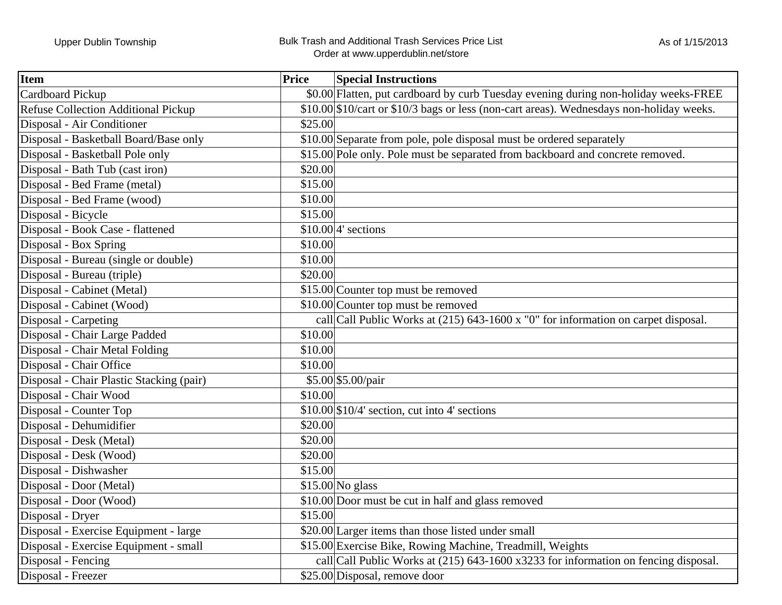| <b>Item</b>                                | <b>Price</b> | <b>Special Instructions</b>                                                              |
|--------------------------------------------|--------------|------------------------------------------------------------------------------------------|
| Cardboard Pickup                           |              | \$0.00 Flatten, put cardboard by curb Tuesday evening during non-holiday weeks-FREE      |
| <b>Refuse Collection Additional Pickup</b> |              | \$10.00 \$10/cart or \$10/3 bags or less (non-cart areas). Wednesdays non-holiday weeks. |
| Disposal - Air Conditioner                 | \$25.00      |                                                                                          |
| Disposal - Basketball Board/Base only      |              | \$10.00 Separate from pole, pole disposal must be ordered separately                     |
| Disposal - Basketball Pole only            |              | \$15.00 Pole only. Pole must be separated from backboard and concrete removed.           |
| Disposal - Bath Tub (cast iron)            | \$20.00      |                                                                                          |
| Disposal - Bed Frame (metal)               | \$15.00      |                                                                                          |
| Disposal - Bed Frame (wood)                | \$10.00      |                                                                                          |
| Disposal - Bicycle                         | \$15.00      |                                                                                          |
| Disposal - Book Case - flattened           |              | $$10.00 4$ sections                                                                      |
| Disposal - Box Spring                      | \$10.00      |                                                                                          |
| Disposal - Bureau (single or double)       | \$10.00      |                                                                                          |
| Disposal - Bureau (triple)                 | \$20.00      |                                                                                          |
| Disposal - Cabinet (Metal)                 |              | \$15.00 Counter top must be removed                                                      |
| Disposal - Cabinet (Wood)                  |              | \$10.00 Counter top must be removed                                                      |
| Disposal - Carpeting                       |              | call Call Public Works at (215) 643-1600 x "0" for information on carpet disposal.       |
| Disposal - Chair Large Padded              | \$10.00      |                                                                                          |
| Disposal - Chair Metal Folding             | \$10.00      |                                                                                          |
| Disposal - Chair Office                    | \$10.00      |                                                                                          |
| Disposal - Chair Plastic Stacking (pair)   |              | \$5.00 \$5.00/pair                                                                       |
| Disposal - Chair Wood                      | \$10.00      |                                                                                          |
| Disposal - Counter Top                     |              | $$10.00 \times 10^{4}$ section, cut into 4' sections                                     |
| Disposal - Dehumidifier                    | \$20.00      |                                                                                          |
| Disposal - Desk (Metal)                    | \$20.00      |                                                                                          |
| Disposal - Desk (Wood)                     | \$20.00      |                                                                                          |
| Disposal - Dishwasher                      | \$15.00      |                                                                                          |
| Disposal - Door (Metal)                    |              | $$15.00$ No glass                                                                        |
| Disposal - Door (Wood)                     |              | \$10.00 Door must be cut in half and glass removed                                       |
| Disposal - Dryer                           | \$15.00      |                                                                                          |
| Disposal - Exercise Equipment - large      |              | \$20.00 Larger items than those listed under small                                       |
| Disposal - Exercise Equipment - small      |              | \$15.00 Exercise Bike, Rowing Machine, Treadmill, Weights                                |
| Disposal - Fencing                         |              | call Call Public Works at (215) 643-1600 x3233 for information on fencing disposal.      |
| Disposal - Freezer                         |              | \$25.00 Disposal, remove door                                                            |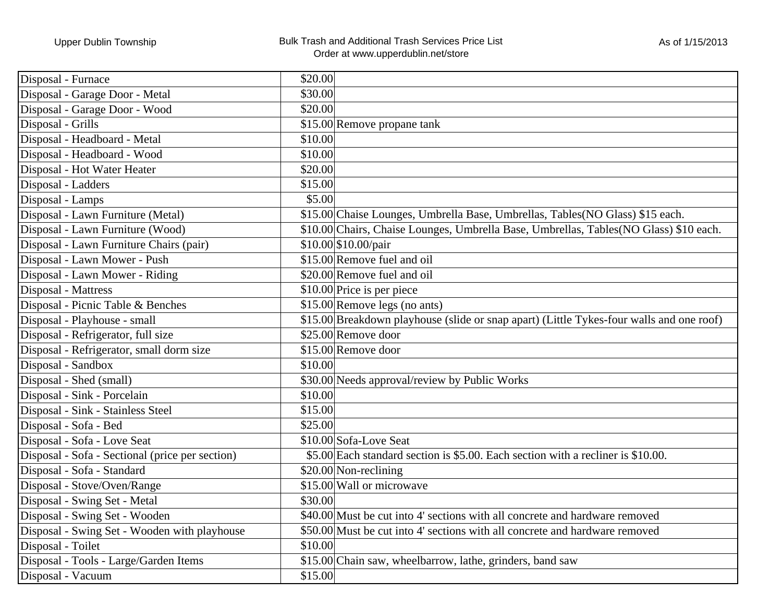## Upper Dublin Township **Bulk Trash and Additional Trash Services Price List** Order at www.upperdublin.net/store

| Disposal - Furnace                              | \$20.00                                                                                  |
|-------------------------------------------------|------------------------------------------------------------------------------------------|
| Disposal - Garage Door - Metal                  | \$30.00                                                                                  |
| Disposal - Garage Door - Wood                   | \$20.00                                                                                  |
| Disposal - Grills                               | \$15.00 Remove propane tank                                                              |
| Disposal - Headboard - Metal                    | \$10.00                                                                                  |
| Disposal - Headboard - Wood                     | \$10.00                                                                                  |
| Disposal - Hot Water Heater                     | \$20.00                                                                                  |
| Disposal - Ladders                              | \$15.00                                                                                  |
| Disposal - Lamps                                | \$5.00                                                                                   |
| Disposal - Lawn Furniture (Metal)               | \$15.00 Chaise Lounges, Umbrella Base, Umbrellas, Tables (NO Glass) \$15 each.           |
| Disposal - Lawn Furniture (Wood)                | \$10.00 Chairs, Chaise Lounges, Umbrella Base, Umbrellas, Tables (NO Glass) \$10 each.   |
| Disposal - Lawn Furniture Chairs (pair)         | \$10.00 \$10.00/pair                                                                     |
| Disposal - Lawn Mower - Push                    | \$15.00 Remove fuel and oil                                                              |
| Disposal - Lawn Mower - Riding                  | \$20.00 Remove fuel and oil                                                              |
| Disposal - Mattress                             | \$10.00 Price is per piece                                                               |
| Disposal - Picnic Table & Benches               | $$15.00$ Remove legs (no ants)                                                           |
| Disposal - Playhouse - small                    | \$15.00 Breakdown playhouse (slide or snap apart) (Little Tykes-four walls and one roof) |
| Disposal - Refrigerator, full size              | \$25.00 Remove door                                                                      |
| Disposal - Refrigerator, small dorm size        | \$15.00 Remove door                                                                      |
| Disposal - Sandbox                              | \$10.00                                                                                  |
| Disposal - Shed (small)                         | \$30.00 Needs approval/review by Public Works                                            |
| Disposal - Sink - Porcelain                     | \$10.00                                                                                  |
| Disposal - Sink - Stainless Steel               | \$15.00                                                                                  |
| Disposal - Sofa - Bed                           | \$25.00                                                                                  |
| Disposal - Sofa - Love Seat                     | \$10.00 Sofa-Love Seat                                                                   |
| Disposal - Sofa - Sectional (price per section) | \$5.00 Each standard section is \$5.00. Each section with a recliner is \$10.00.         |
| Disposal - Sofa - Standard                      | $$20.00$ Non-reclining                                                                   |
| Disposal - Stove/Oven/Range                     | \$15.00 Wall or microwave                                                                |
| Disposal - Swing Set - Metal                    | \$30.00                                                                                  |
| Disposal - Swing Set - Wooden                   | \$40.00 Must be cut into 4' sections with all concrete and hardware removed              |
| Disposal - Swing Set - Wooden with playhouse    | \$50.00 Must be cut into 4' sections with all concrete and hardware removed              |
| Disposal - Toilet                               | \$10.00                                                                                  |
| Disposal - Tools - Large/Garden Items           | \$15.00 Chain saw, wheelbarrow, lathe, grinders, band saw                                |
| Disposal - Vacuum                               | \$15.00                                                                                  |